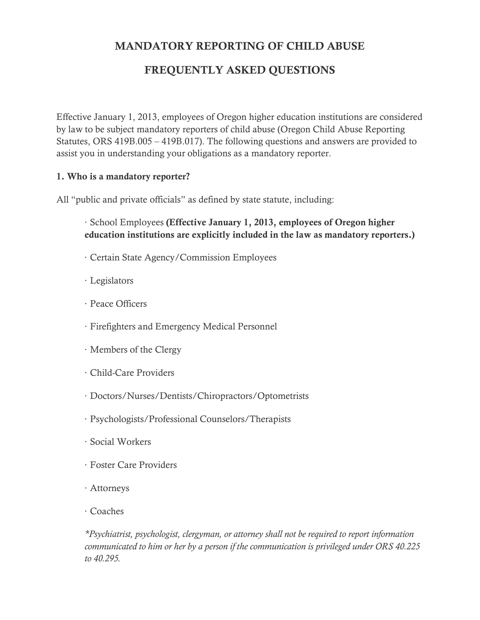# MANDATORY REPORTING OF CHILD ABUSE

# FREQUENTLY ASKED QUESTIONS

Effective January 1, 2013, employees of Oregon higher education institutions are considered by law to be subject mandatory reporters of child abuse (Oregon Child Abuse Reporting Statutes, ORS 419B.005 – 419B.017). The following questions and answers are provided to assist you in understanding your obligations as a mandatory reporter.

#### 1. Who is a mandatory reporter?

All "public and private officials" as defined by state statute, including:

- · School Employees (Effective January 1, 2013, employees of Oregon higher education institutions are explicitly included in the law as mandatory reporters.)
- · Certain State Agency/Commission Employees
- · Legislators
- · Peace Officers
- · Firefighters and Emergency Medical Personnel
- · Members of the Clergy
- · Child-Care Providers
- · Doctors/Nurses/Dentists/Chiropractors/Optometrists
- · Psychologists/Professional Counselors/Therapists
- · Social Workers
- · Foster Care Providers
- · Attorneys
- · Coaches

*\*Psychiatrist, psychologist, clergyman, or attorney shall not be required to report information communicated to him or her by a person if the communication is privileged under ORS 40.225 to 40.295.*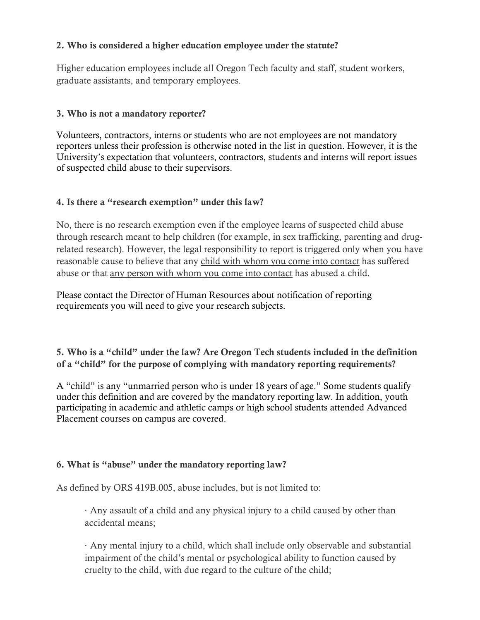### 2. Who is considered a higher education employee under the statute?

Higher education employees include all Oregon Tech faculty and staff, student workers, graduate assistants, and temporary employees.

#### 3. Who is not a mandatory reporter?

Volunteers, contractors, interns or students who are not employees are not mandatory reporters unless their profession is otherwise noted in the list in question. However, it is the University's expectation that volunteers, contractors, students and interns will report issues of suspected child abuse to their supervisors.

#### 4. Is there a "research exemption" under this law?

No, there is no research exemption even if the employee learns of suspected child abuse through research meant to help children (for example, in sex trafficking, parenting and drugrelated research). However, the legal responsibility to report is triggered only when you have reasonable cause to believe that any child with whom you come into contact has suffered abuse or that any person with whom you come into contact has abused a child.

Please contact the Director of Human Resources about notification of reporting requirements you will need to give your research subjects.

5. Who is a "child" under the law? Are Oregon Tech students included in the definition of a "child" for the purpose of complying with mandatory reporting requirements?

A "child" is any "unmarried person who is under 18 years of age." Some students qualify under this definition and are covered by the mandatory reporting law. In addition, youth participating in academic and athletic camps or high school students attended Advanced Placement courses on campus are covered.

#### 6. What is "abuse" under the mandatory reporting law?

As defined by ORS 419B.005, abuse includes, but is not limited to:

· Any assault of a child and any physical injury to a child caused by other than accidental means;

· Any mental injury to a child, which shall include only observable and substantial impairment of the child's mental or psychological ability to function caused by cruelty to the child, with due regard to the culture of the child;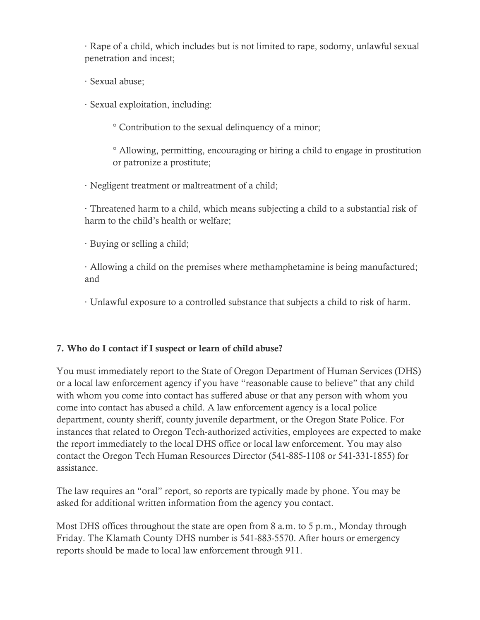· Rape of a child, which includes but is not limited to rape, sodomy, unlawful sexual penetration and incest;

· Sexual abuse;

· Sexual exploitation, including:

° Contribution to the sexual delinquency of a minor;

° Allowing, permitting, encouraging or hiring a child to engage in prostitution or patronize a prostitute;

· Negligent treatment or maltreatment of a child;

· Threatened harm to a child, which means subjecting a child to a substantial risk of harm to the child's health or welfare;

· Buying or selling a child;

· Allowing a child on the premises where methamphetamine is being manufactured; and

· Unlawful exposure to a controlled substance that subjects a child to risk of harm.

## 7. Who do I contact if I suspect or learn of child abuse?

You must immediately report to the State of Oregon Department of Human Services (DHS) or a local law enforcement agency if you have "reasonable cause to believe" that any child with whom you come into contact has suffered abuse or that any person with whom you come into contact has abused a child. A law enforcement agency is a local police department, county sheriff, county juvenile department, or the Oregon State Police. For instances that related to Oregon Tech-authorized activities, employees are expected to make the report immediately to the local DHS office or local law enforcement. You may also contact the Oregon Tech Human Resources Director (541-885-1108 or 541-331-1855) for assistance.

The law requires an "oral" report, so reports are typically made by phone. You may be asked for additional written information from the agency you contact.

Most DHS offices throughout the state are open from 8 a.m. to 5 p.m., Monday through Friday. The Klamath County DHS number is 541-883-5570. After hours or emergency reports should be made to local law enforcement through 911.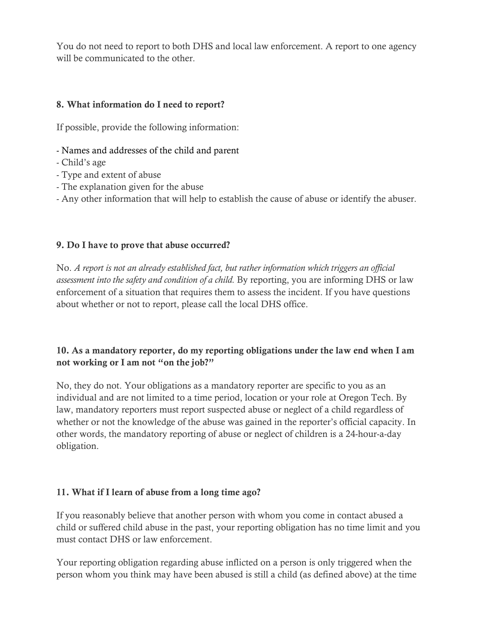You do not need to report to both DHS and local law enforcement. A report to one agency will be communicated to the other.

## 8. What information do I need to report?

If possible, provide the following information:

- Names and addresses of the child and parent
- Child's age
- Type and extent of abuse
- The explanation given for the abuse
- Any other information that will help to establish the cause of abuse or identify the abuser.

#### 9. Do I have to prove that abuse occurred?

No. *A report is not an already established fact, but rather information which triggers an official assessment into the safety and condition of a child.* By reporting, you are informing DHS or law enforcement of a situation that requires them to assess the incident. If you have questions about whether or not to report, please call the local DHS office.

## 10. As a mandatory reporter, do my reporting obligations under the law end when I am not working or I am not "on the job?"

No, they do not. Your obligations as a mandatory reporter are specific to you as an individual and are not limited to a time period, location or your role at Oregon Tech. By law, mandatory reporters must report suspected abuse or neglect of a child regardless of whether or not the knowledge of the abuse was gained in the reporter's official capacity. In other words, the mandatory reporting of abuse or neglect of children is a 24-hour-a-day obligation.

#### 11. What if I learn of abuse from a long time ago?

If you reasonably believe that another person with whom you come in contact abused a child or suffered child abuse in the past, your reporting obligation has no time limit and you must contact DHS or law enforcement.

Your reporting obligation regarding abuse inflicted on a person is only triggered when the person whom you think may have been abused is still a child (as defined above) at the time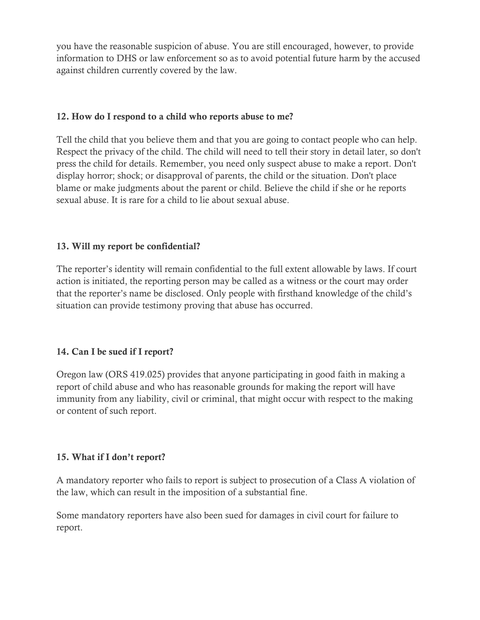you have the reasonable suspicion of abuse. You are still encouraged, however, to provide information to DHS or law enforcement so as to avoid potential future harm by the accused against children currently covered by the law.

### 12. How do I respond to a child who reports abuse to me?

Tell the child that you believe them and that you are going to contact people who can help. Respect the privacy of the child. The child will need to tell their story in detail later, so don't press the child for details. Remember, you need only suspect abuse to make a report. Don't display horror; shock; or disapproval of parents, the child or the situation. Don't place blame or make judgments about the parent or child. Believe the child if she or he reports sexual abuse. It is rare for a child to lie about sexual abuse.

## 13. Will my report be confidential?

The reporter's identity will remain confidential to the full extent allowable by laws. If court action is initiated, the reporting person may be called as a witness or the court may order that the reporter's name be disclosed. Only people with firsthand knowledge of the child's situation can provide testimony proving that abuse has occurred.

## 14. Can I be sued if I report?

Oregon law (ORS 419.025) provides that anyone participating in good faith in making a report of child abuse and who has reasonable grounds for making the report will have immunity from any liability, civil or criminal, that might occur with respect to the making or content of such report.

#### 15. What if I don't report?

A mandatory reporter who fails to report is subject to prosecution of a Class A violation of the law, which can result in the imposition of a substantial fine.

Some mandatory reporters have also been sued for damages in civil court for failure to report.